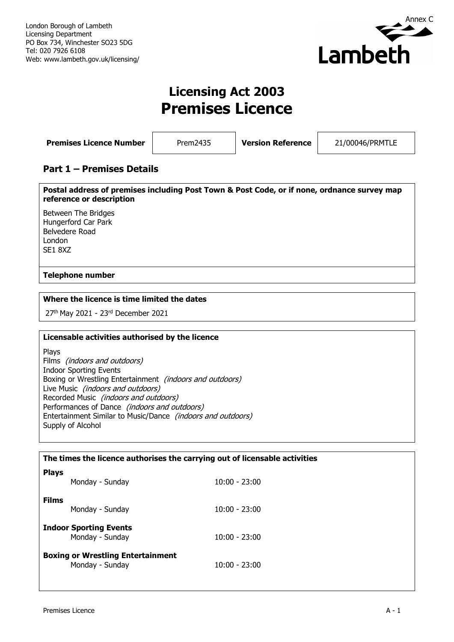

# **Licensing Act 2003 Premises Licence**

| <b>Premises Licence Number</b> | Prem2435 | <b>Version Reference</b> | 21/00046/PRMTLE |
|--------------------------------|----------|--------------------------|-----------------|
|                                |          |                          |                 |

## **Part 1 – Premises Details**

**Postal address of premises including Post Town & Post Code, or if none, ordnance survey map reference or description**

Between The Bridges Hungerford Car Park Belvedere Road London SE1 8XZ

### **Telephone number**

### **Where the licence is time limited the dates**

27<sup>th</sup> May 2021 - 23<sup>rd</sup> December 2021

#### **Licensable activities authorised by the licence**

Plays Films (indoors and outdoors) Indoor Sporting Events Boxing or Wrestling Entertainment (indoors and outdoors) Live Music (indoors and outdoors) Recorded Music (indoors and outdoors) Performances of Dance (indoors and outdoors) Entertainment Similar to Music/Dance (indoors and outdoors) Supply of Alcohol

| The times the licence authorises the carrying out of licensable activities |                                                             |                 |
|----------------------------------------------------------------------------|-------------------------------------------------------------|-----------------|
| <b>Plays</b>                                                               | Monday - Sunday                                             | $10:00 - 23:00$ |
| <b>Films</b>                                                               | Monday - Sunday                                             | $10:00 - 23:00$ |
|                                                                            | <b>Indoor Sporting Events</b><br>Monday - Sunday            | $10:00 - 23:00$ |
|                                                                            | <b>Boxing or Wrestling Entertainment</b><br>Monday - Sunday | $10:00 - 23:00$ |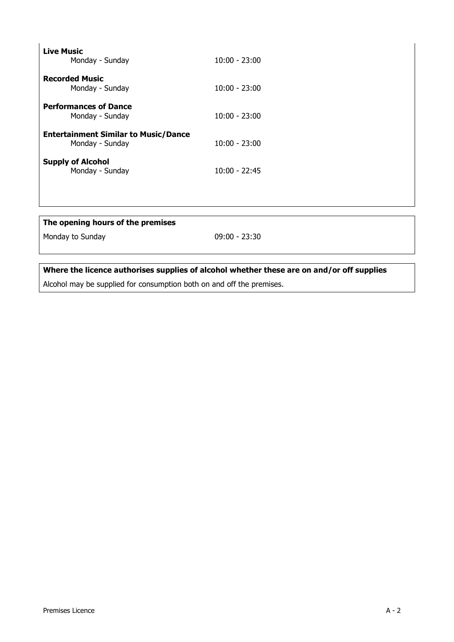| <b>Live Music</b><br>Monday - Sunday                           | $10:00 - 23:00$ |
|----------------------------------------------------------------|-----------------|
| <b>Recorded Music</b><br>Monday - Sunday                       | $10:00 - 23:00$ |
| <b>Performances of Dance</b><br>Monday - Sunday                | $10:00 - 23:00$ |
| <b>Entertainment Similar to Music/Dance</b><br>Monday - Sunday | $10:00 - 23:00$ |
| <b>Supply of Alcohol</b><br>Monday - Sunday                    | $10:00 - 22:45$ |
|                                                                |                 |
| The opening hours of the premises                              |                 |
| Monday to Sunday                                               | $09:00 - 23:30$ |

**Where the licence authorises supplies of alcohol whether these are on and/or off supplies**

Alcohol may be supplied for consumption both on and off the premises.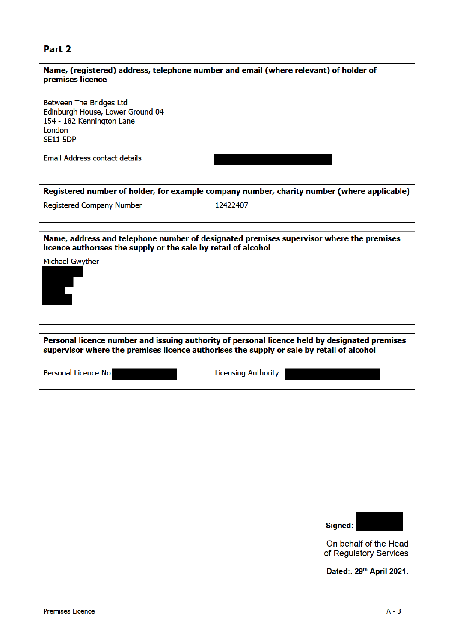## Part 2

| premises licence                                                                                                      | Name, (registered) address, telephone number and email (where relevant) of holder of       |
|-----------------------------------------------------------------------------------------------------------------------|--------------------------------------------------------------------------------------------|
| Between The Bridges Ltd<br>Edinburgh House, Lower Ground 04<br>154 - 182 Kennington Lane<br>London<br><b>SE11 5DP</b> |                                                                                            |
| Email Address contact details                                                                                         |                                                                                            |
|                                                                                                                       | Registered number of holder, for example company number, charity number (where applicable) |
| Registered Company Number                                                                                             | 12422407                                                                                   |
|                                                                                                                       |                                                                                            |
| licence authorises the supply or the sale by retail of alcohol                                                        | Name, address and telephone number of designated premises supervisor where the premises    |
| Michael Gwyther                                                                                                       |                                                                                            |

Personal licence number and issuing authority of personal licence held by designated premises supervisor where the premises licence authorises the supply or sale by retail of alcohol

Personal Licence No:

Licensing Authority:



On behalf of the Head of Regulatory Services

Dated:. 29th April 2021.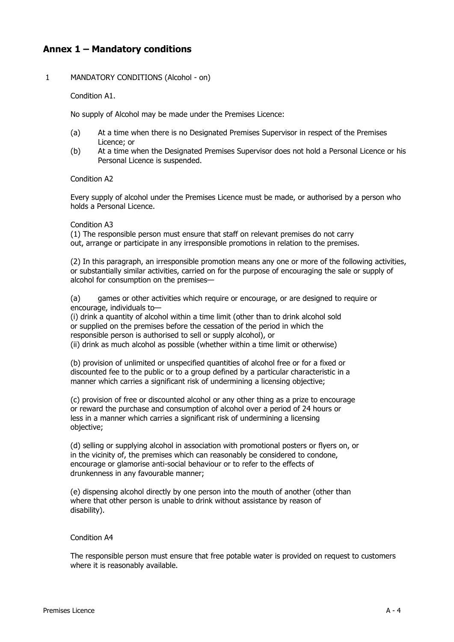## **Annex 1 – Mandatory conditions**

#### 1 MANDATORY CONDITIONS (Alcohol - on)

Condition A1.

No supply of Alcohol may be made under the Premises Licence:

- (a) At a time when there is no Designated Premises Supervisor in respect of the Premises Licence; or
- (b) At a time when the Designated Premises Supervisor does not hold a Personal Licence or his Personal Licence is suspended.

#### Condition A2

Every supply of alcohol under the Premises Licence must be made, or authorised by a person who holds a Personal Licence.

#### Condition A3

(1) The responsible person must ensure that staff on relevant premises do not carry out, arrange or participate in any irresponsible promotions in relation to the premises.

(2) In this paragraph, an irresponsible promotion means any one or more of the following activities, or substantially similar activities, carried on for the purpose of encouraging the sale or supply of alcohol for consumption on the premises—

(a) games or other activities which require or encourage, or are designed to require or encourage, individuals to—

(i) drink a quantity of alcohol within a time limit (other than to drink alcohol sold or supplied on the premises before the cessation of the period in which the responsible person is authorised to sell or supply alcohol), or (ii) drink as much alcohol as possible (whether within a time limit or otherwise)

(b) provision of unlimited or unspecified quantities of alcohol free or for a fixed or

discounted fee to the public or to a group defined by a particular characteristic in a manner which carries a significant risk of undermining a licensing objective;

(c) provision of free or discounted alcohol or any other thing as a prize to encourage or reward the purchase and consumption of alcohol over a period of 24 hours or less in a manner which carries a significant risk of undermining a licensing objective;

(d) selling or supplying alcohol in association with promotional posters or flyers on, or in the vicinity of, the premises which can reasonably be considered to condone, encourage or glamorise anti-social behaviour or to refer to the effects of drunkenness in any favourable manner;

(e) dispensing alcohol directly by one person into the mouth of another (other than where that other person is unable to drink without assistance by reason of disability).

#### Condition A4

The responsible person must ensure that free potable water is provided on request to customers where it is reasonably available.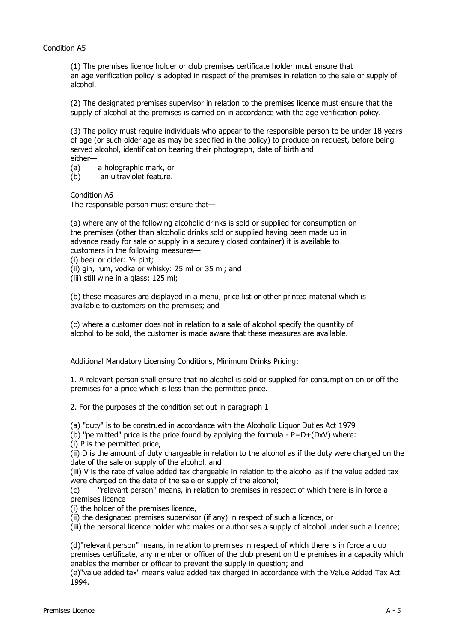#### Condition A5

(1) The premises licence holder or club premises certificate holder must ensure that an age verification policy is adopted in respect of the premises in relation to the sale or supply of alcohol.

(2) The designated premises supervisor in relation to the premises licence must ensure that the supply of alcohol at the premises is carried on in accordance with the age verification policy.

(3) The policy must require individuals who appear to the responsible person to be under 18 years of age (or such older age as may be specified in the policy) to produce on request, before being served alcohol, identification bearing their photograph, date of birth and either—<br>(a)

(a) a holographic mark, or<br>(b) an ultraviolet feature.

an ultraviolet feature.

Condition A6

The responsible person must ensure that—

(a) where any of the following alcoholic drinks is sold or supplied for consumption on the premises (other than alcoholic drinks sold or supplied having been made up in advance ready for sale or supply in a securely closed container) it is available to customers in the following measures—

- (i) beer or cider: ½ pint;
- (ii) gin, rum, vodka or whisky: 25 ml or 35 ml; and

(iii) still wine in a glass: 125 ml;

(b) these measures are displayed in a menu, price list or other printed material which is available to customers on the premises; and

(c) where a customer does not in relation to a sale of alcohol specify the quantity of alcohol to be sold, the customer is made aware that these measures are available.

Additional Mandatory Licensing Conditions, Minimum Drinks Pricing:

1. A relevant person shall ensure that no alcohol is sold or supplied for consumption on or off the premises for a price which is less than the permitted price.

2. For the purposes of the condition set out in paragraph 1

(a) "duty" is to be construed in accordance with the Alcoholic Liquor Duties Act 1979

(b) "permitted" price is the price found by applying the formula -  $P=D+(DxV)$  where:

(i) P is the permitted price,

(ii) D is the amount of duty chargeable in relation to the alcohol as if the duty were charged on the date of the sale or supply of the alcohol, and

(iii) V is the rate of value added tax chargeable in relation to the alcohol as if the value added tax were charged on the date of the sale or supply of the alcohol;

(c) "relevant person" means, in relation to premises in respect of which there is in force a premises licence

(i) the holder of the premises licence,

(ii) the designated premises supervisor (if any) in respect of such a licence, or

(iii) the personal licence holder who makes or authorises a supply of alcohol under such a licence;

(d)"relevant person" means, in relation to premises in respect of which there is in force a club premises certificate, any member or officer of the club present on the premises in a capacity which enables the member or officer to prevent the supply in question; and

(e)"value added tax" means value added tax charged in accordance with the Value Added Tax Act 1994.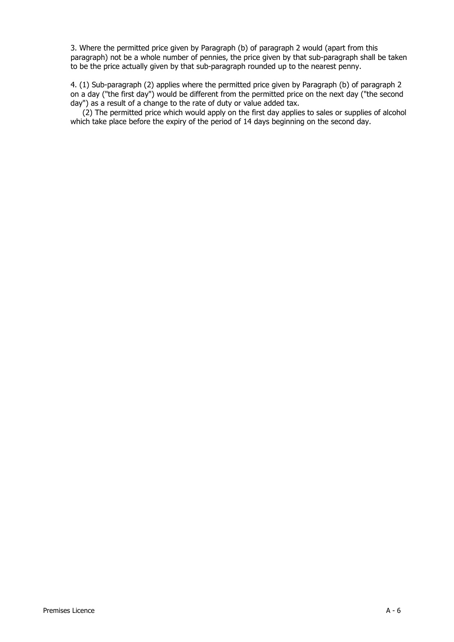3. Where the permitted price given by Paragraph (b) of paragraph 2 would (apart from this paragraph) not be a whole number of pennies, the price given by that sub-paragraph shall be taken to be the price actually given by that sub-paragraph rounded up to the nearest penny.

4. (1) Sub-paragraph (2) applies where the permitted price given by Paragraph (b) of paragraph 2 on a day ("the first day") would be different from the permitted price on the next day ("the second day") as a result of a change to the rate of duty or value added tax.

(2) The permitted price which would apply on the first day applies to sales or supplies of alcohol which take place before the expiry of the period of 14 days beginning on the second day.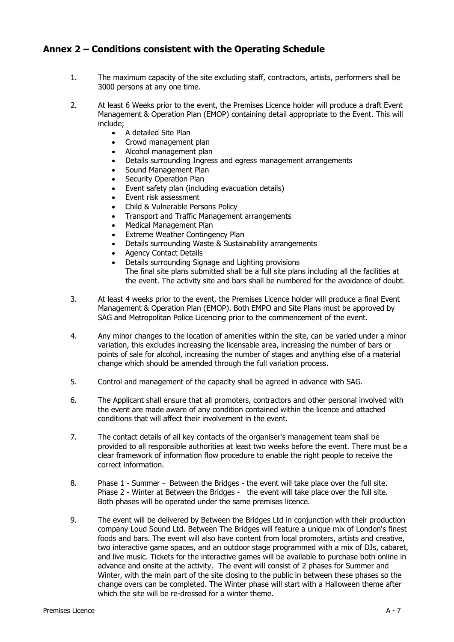## **Annex 2 – Conditions consistent with the Operating Schedule**

- 1. The maximum capacity of the site excluding staff, contractors, artists, performers shall be 3000 persons at any one time.
- 2. At least 6 Weeks prior to the event, the Premises Licence holder will produce a draft Event Management & Operation Plan (EMOP) containing detail appropriate to the Event. This will include;
	- A detailed Site Plan
	- Crowd management plan
	- Alcohol management plan
	- Details surrounding Ingress and egress management arrangements
	- Sound Management Plan
	- **Security Operation Plan**
	- Event safety plan (including evacuation details)
	- Event risk assessment
	- Child & Vulnerable Persons Policy
	- Transport and Traffic Management arrangements
	- Medical Management Plan
	- **Extreme Weather Contingency Plan**
	- Details surrounding Waste & Sustainability arrangements
	- Agency Contact Details
	- Details surrounding Signage and Lighting provisions The final site plans submitted shall be a full site plans including all the facilities at the event. The activity site and bars shall be numbered for the avoidance of doubt.
- 3. At least 4 weeks prior to the event, the Premises Licence holder will produce a final Event Management & Operation Plan (EMOP). Both EMPO and Site Plans must be approved by SAG and Metropolitan Police Licencing prior to the commencement of the event.
- 4. Any minor changes to the location of amenities within the site, can be varied under a minor variation, this excludes increasing the licensable area, increasing the number of bars or points of sale for alcohol, increasing the number of stages and anything else of a material change which should be amended through the full variation process.
- 5. Control and management of the capacity shall be agreed in advance with SAG.
- 6. The Applicant shall ensure that all promoters, contractors and other personal involved with the event are made aware of any condition contained within the licence and attached conditions that will affect their involvement in the event.
- 7. The contact details of all key contacts of the organiser's management team shall be provided to all responsible authorities at least two weeks before the event. There must be a clear framework of information flow procedure to enable the right people to receive the correct information.
- 8. Phase 1 Summer Between the Bridges the event will take place over the full site. Phase 2 - Winter at Between the Bridges - the event will take place over the full site. Both phases will be operated under the same premises licence.
- 9. The event will be delivered by Between the Bridges Ltd in conjunction with their production company Loud Sound Ltd. Between The Bridges will feature a unique mix of London's finest foods and bars. The event will also have content from local promoters, artists and creative, two interactive game spaces, and an outdoor stage programmed with a mix of DJs, cabaret, and live music. Tickets for the interactive games will be available to purchase both online in advance and onsite at the activity. The event will consist of 2 phases for Summer and Winter, with the main part of the site closing to the public in between these phases so the change overs can be completed. The Winter phase will start with a Halloween theme after which the site will be re-dressed for a winter theme.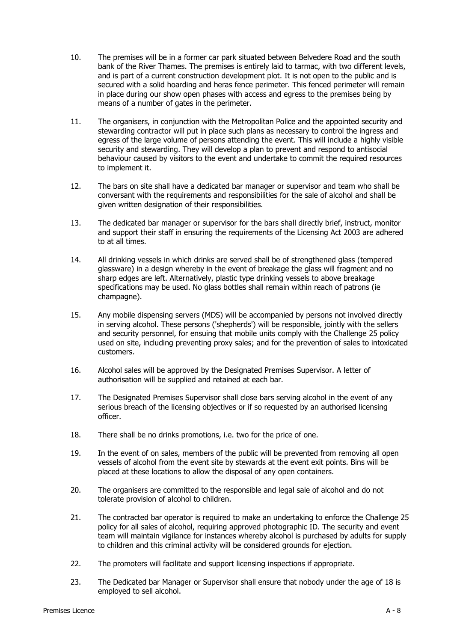- 10. The premises will be in a former car park situated between Belvedere Road and the south bank of the River Thames. The premises is entirely laid to tarmac, with two different levels, and is part of a current construction development plot. It is not open to the public and is secured with a solid hoarding and heras fence perimeter. This fenced perimeter will remain in place during our show open phases with access and egress to the premises being by means of a number of gates in the perimeter.
- 11. The organisers, in conjunction with the Metropolitan Police and the appointed security and stewarding contractor will put in place such plans as necessary to control the ingress and egress of the large volume of persons attending the event. This will include a highly visible security and stewarding. They will develop a plan to prevent and respond to antisocial behaviour caused by visitors to the event and undertake to commit the required resources to implement it.
- 12. The bars on site shall have a dedicated bar manager or supervisor and team who shall be conversant with the requirements and responsibilities for the sale of alcohol and shall be given written designation of their responsibilities.
- 13. The dedicated bar manager or supervisor for the bars shall directly brief, instruct, monitor and support their staff in ensuring the requirements of the Licensing Act 2003 are adhered to at all times.
- 14. All drinking vessels in which drinks are served shall be of strengthened glass (tempered glassware) in a design whereby in the event of breakage the glass will fragment and no sharp edges are left. Alternatively, plastic type drinking vessels to above breakage specifications may be used. No glass bottles shall remain within reach of patrons (ie champagne).
- 15. Any mobile dispensing servers (MDS) will be accompanied by persons not involved directly in serving alcohol. These persons ('shepherds') will be responsible, jointly with the sellers and security personnel, for ensuing that mobile units comply with the Challenge 25 policy used on site, including preventing proxy sales; and for the prevention of sales to intoxicated customers.
- 16. Alcohol sales will be approved by the Designated Premises Supervisor. A letter of authorisation will be supplied and retained at each bar.
- 17. The Designated Premises Supervisor shall close bars serving alcohol in the event of any serious breach of the licensing objectives or if so requested by an authorised licensing officer.
- 18. There shall be no drinks promotions, i.e. two for the price of one.
- 19. In the event of on sales, members of the public will be prevented from removing all open vessels of alcohol from the event site by stewards at the event exit points. Bins will be placed at these locations to allow the disposal of any open containers.
- 20. The organisers are committed to the responsible and legal sale of alcohol and do not tolerate provision of alcohol to children.
- 21. The contracted bar operator is required to make an undertaking to enforce the Challenge 25 policy for all sales of alcohol, requiring approved photographic ID. The security and event team will maintain vigilance for instances whereby alcohol is purchased by adults for supply to children and this criminal activity will be considered grounds for ejection.
- 22. The promoters will facilitate and support licensing inspections if appropriate.
- 23. The Dedicated bar Manager or Supervisor shall ensure that nobody under the age of 18 is employed to sell alcohol.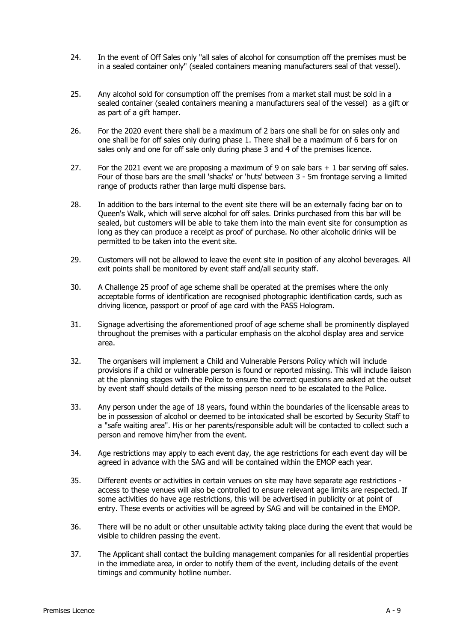- 24. In the event of Off Sales only "all sales of alcohol for consumption off the premises must be in a sealed container only" (sealed containers meaning manufacturers seal of that vessel).
- 25. Any alcohol sold for consumption off the premises from a market stall must be sold in a sealed container (sealed containers meaning a manufacturers seal of the vessel) as a gift or as part of a gift hamper.
- 26. For the 2020 event there shall be a maximum of 2 bars one shall be for on sales only and one shall be for off sales only during phase 1. There shall be a maximum of 6 bars for on sales only and one for off sale only during phase 3 and 4 of the premises licence.
- 27. For the 2021 event we are proposing a maximum of 9 on sale bars  $+1$  bar serving off sales. Four of those bars are the small 'shacks' or 'huts' between 3 - 5m frontage serving a limited range of products rather than large multi dispense bars.
- 28. In addition to the bars internal to the event site there will be an externally facing bar on to Queen's Walk, which will serve alcohol for off sales. Drinks purchased from this bar will be sealed, but customers will be able to take them into the main event site for consumption as long as they can produce a receipt as proof of purchase. No other alcoholic drinks will be permitted to be taken into the event site.
- 29. Customers will not be allowed to leave the event site in position of any alcohol beverages. All exit points shall be monitored by event staff and/all security staff.
- 30. A Challenge 25 proof of age scheme shall be operated at the premises where the only acceptable forms of identification are recognised photographic identification cards, such as driving licence, passport or proof of age card with the PASS Hologram.
- 31. Signage advertising the aforementioned proof of age scheme shall be prominently displayed throughout the premises with a particular emphasis on the alcohol display area and service area.
- 32. The organisers will implement a Child and Vulnerable Persons Policy which will include provisions if a child or vulnerable person is found or reported missing. This will include liaison at the planning stages with the Police to ensure the correct questions are asked at the outset by event staff should details of the missing person need to be escalated to the Police.
- 33. Any person under the age of 18 years, found within the boundaries of the licensable areas to be in possession of alcohol or deemed to be intoxicated shall be escorted by Security Staff to a "safe waiting area". His or her parents/responsible adult will be contacted to collect such a person and remove him/her from the event.
- 34. Age restrictions may apply to each event day, the age restrictions for each event day will be agreed in advance with the SAG and will be contained within the EMOP each year.
- 35. Different events or activities in certain venues on site may have separate age restrictions access to these venues will also be controlled to ensure relevant age limits are respected. If some activities do have age restrictions, this will be advertised in publicity or at point of entry. These events or activities will be agreed by SAG and will be contained in the EMOP.
- 36. There will be no adult or other unsuitable activity taking place during the event that would be visible to children passing the event.
- 37. The Applicant shall contact the building management companies for all residential properties in the immediate area, in order to notify them of the event, including details of the event timings and community hotline number.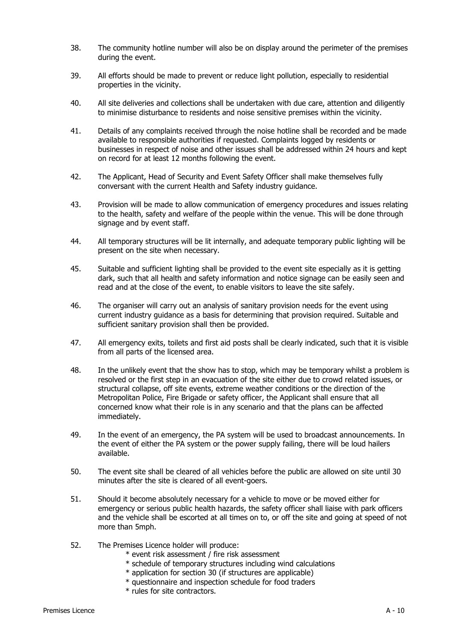- 38. The community hotline number will also be on display around the perimeter of the premises during the event.
- 39. All efforts should be made to prevent or reduce light pollution, especially to residential properties in the vicinity.
- 40. All site deliveries and collections shall be undertaken with due care, attention and diligently to minimise disturbance to residents and noise sensitive premises within the vicinity.
- 41. Details of any complaints received through the noise hotline shall be recorded and be made available to responsible authorities if requested. Complaints logged by residents or businesses in respect of noise and other issues shall be addressed within 24 hours and kept on record for at least 12 months following the event.
- 42. The Applicant, Head of Security and Event Safety Officer shall make themselves fully conversant with the current Health and Safety industry guidance.
- 43. Provision will be made to allow communication of emergency procedures and issues relating to the health, safety and welfare of the people within the venue. This will be done through signage and by event staff.
- 44. All temporary structures will be lit internally, and adequate temporary public lighting will be present on the site when necessary.
- 45. Suitable and sufficient lighting shall be provided to the event site especially as it is getting dark, such that all health and safety information and notice signage can be easily seen and read and at the close of the event, to enable visitors to leave the site safely.
- 46. The organiser will carry out an analysis of sanitary provision needs for the event using current industry guidance as a basis for determining that provision required. Suitable and sufficient sanitary provision shall then be provided.
- 47. All emergency exits, toilets and first aid posts shall be clearly indicated, such that it is visible from all parts of the licensed area.
- 48. In the unlikely event that the show has to stop, which may be temporary whilst a problem is resolved or the first step in an evacuation of the site either due to crowd related issues, or structural collapse, off site events, extreme weather conditions or the direction of the Metropolitan Police, Fire Brigade or safety officer, the Applicant shall ensure that all concerned know what their role is in any scenario and that the plans can be affected immediately.
- 49. In the event of an emergency, the PA system will be used to broadcast announcements. In the event of either the PA system or the power supply failing, there will be loud hailers available.
- 50. The event site shall be cleared of all vehicles before the public are allowed on site until 30 minutes after the site is cleared of all event-goers.
- 51. Should it become absolutely necessary for a vehicle to move or be moved either for emergency or serious public health hazards, the safety officer shall liaise with park officers and the vehicle shall be escorted at all times on to, or off the site and going at speed of not more than 5mph.
- 52. The Premises Licence holder will produce:
	- \* event risk assessment / fire risk assessment
	- \* schedule of temporary structures including wind calculations
	- \* application for section 30 (if structures are applicable)
	- \* questionnaire and inspection schedule for food traders
	- \* rules for site contractors.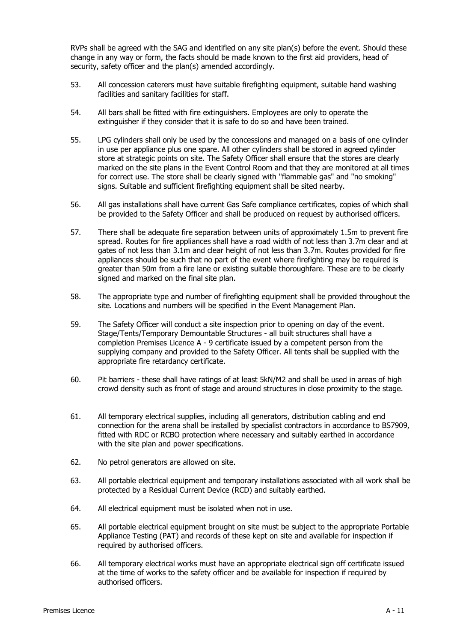RVPs shall be agreed with the SAG and identified on any site plan(s) before the event. Should these change in any way or form, the facts should be made known to the first aid providers, head of security, safety officer and the plan(s) amended accordingly.

- 53. All concession caterers must have suitable firefighting equipment, suitable hand washing facilities and sanitary facilities for staff.
- 54. All bars shall be fitted with fire extinguishers. Employees are only to operate the extinguisher if they consider that it is safe to do so and have been trained.
- 55. LPG cylinders shall only be used by the concessions and managed on a basis of one cylinder in use per appliance plus one spare. All other cylinders shall be stored in agreed cylinder store at strategic points on site. The Safety Officer shall ensure that the stores are clearly marked on the site plans in the Event Control Room and that they are monitored at all times for correct use. The store shall be clearly signed with "flammable gas" and "no smoking" signs. Suitable and sufficient firefighting equipment shall be sited nearby.
- 56. All gas installations shall have current Gas Safe compliance certificates, copies of which shall be provided to the Safety Officer and shall be produced on request by authorised officers.
- 57. There shall be adequate fire separation between units of approximately 1.5m to prevent fire spread. Routes for fire appliances shall have a road width of not less than 3.7m clear and at gates of not less than 3.1m and clear height of not less than 3.7m. Routes provided for fire appliances should be such that no part of the event where firefighting may be required is greater than 50m from a fire lane or existing suitable thoroughfare. These are to be clearly signed and marked on the final site plan.
- 58. The appropriate type and number of firefighting equipment shall be provided throughout the site. Locations and numbers will be specified in the Event Management Plan.
- 59. The Safety Officer will conduct a site inspection prior to opening on day of the event. Stage/Tents/Temporary Demountable Structures - all built structures shall have a completion Premises Licence A - 9 certificate issued by a competent person from the supplying company and provided to the Safety Officer. All tents shall be supplied with the appropriate fire retardancy certificate.
- 60. Pit barriers these shall have ratings of at least 5kN/M2 and shall be used in areas of high crowd density such as front of stage and around structures in close proximity to the stage.
- 61. All temporary electrical supplies, including all generators, distribution cabling and end connection for the arena shall be installed by specialist contractors in accordance to BS7909, fitted with RDC or RCBO protection where necessary and suitably earthed in accordance with the site plan and power specifications.
- 62. No petrol generators are allowed on site.
- 63. All portable electrical equipment and temporary installations associated with all work shall be protected by a Residual Current Device (RCD) and suitably earthed.
- 64. All electrical equipment must be isolated when not in use.
- 65. All portable electrical equipment brought on site must be subject to the appropriate Portable Appliance Testing (PAT) and records of these kept on site and available for inspection if required by authorised officers.
- 66. All temporary electrical works must have an appropriate electrical sign off certificate issued at the time of works to the safety officer and be available for inspection if required by authorised officers.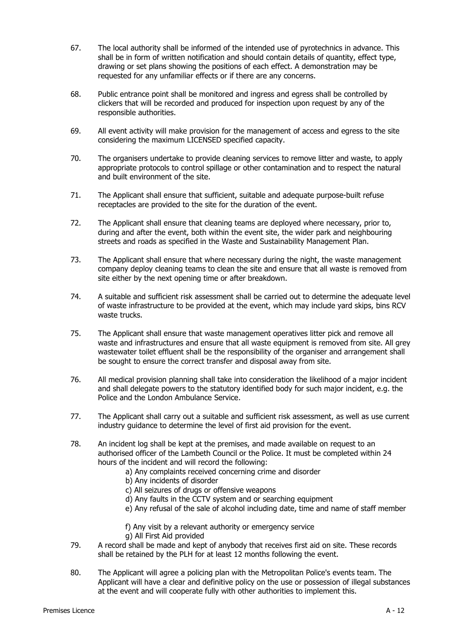- 67. The local authority shall be informed of the intended use of pyrotechnics in advance. This shall be in form of written notification and should contain details of quantity, effect type, drawing or set plans showing the positions of each effect. A demonstration may be requested for any unfamiliar effects or if there are any concerns.
- 68. Public entrance point shall be monitored and ingress and egress shall be controlled by clickers that will be recorded and produced for inspection upon request by any of the responsible authorities.
- 69. All event activity will make provision for the management of access and egress to the site considering the maximum LICENSED specified capacity.
- 70. The organisers undertake to provide cleaning services to remove litter and waste, to apply appropriate protocols to control spillage or other contamination and to respect the natural and built environment of the site.
- 71. The Applicant shall ensure that sufficient, suitable and adequate purpose-built refuse receptacles are provided to the site for the duration of the event.
- 72. The Applicant shall ensure that cleaning teams are deployed where necessary, prior to, during and after the event, both within the event site, the wider park and neighbouring streets and roads as specified in the Waste and Sustainability Management Plan.
- 73. The Applicant shall ensure that where necessary during the night, the waste management company deploy cleaning teams to clean the site and ensure that all waste is removed from site either by the next opening time or after breakdown.
- 74. A suitable and sufficient risk assessment shall be carried out to determine the adequate level of waste infrastructure to be provided at the event, which may include yard skips, bins RCV waste trucks.
- 75. The Applicant shall ensure that waste management operatives litter pick and remove all waste and infrastructures and ensure that all waste equipment is removed from site. All grey wastewater toilet effluent shall be the responsibility of the organiser and arrangement shall be sought to ensure the correct transfer and disposal away from site.
- 76. All medical provision planning shall take into consideration the likelihood of a major incident and shall delegate powers to the statutory identified body for such major incident, e.g. the Police and the London Ambulance Service.
- 77. The Applicant shall carry out a suitable and sufficient risk assessment, as well as use current industry guidance to determine the level of first aid provision for the event.
- 78. An incident log shall be kept at the premises, and made available on request to an authorised officer of the Lambeth Council or the Police. It must be completed within 24 hours of the incident and will record the following:
	- a) Any complaints received concerning crime and disorder
	- b) Any incidents of disorder
	- c) All seizures of drugs or offensive weapons
	- d) Any faults in the CCTV system and or searching equipment
	- e) Any refusal of the sale of alcohol including date, time and name of staff member
	- f) Any visit by a relevant authority or emergency service
	- g) All First Aid provided
- 79. A record shall be made and kept of anybody that receives first aid on site. These records shall be retained by the PLH for at least 12 months following the event.
- 80. The Applicant will agree a policing plan with the Metropolitan Police's events team. The Applicant will have a clear and definitive policy on the use or possession of illegal substances at the event and will cooperate fully with other authorities to implement this.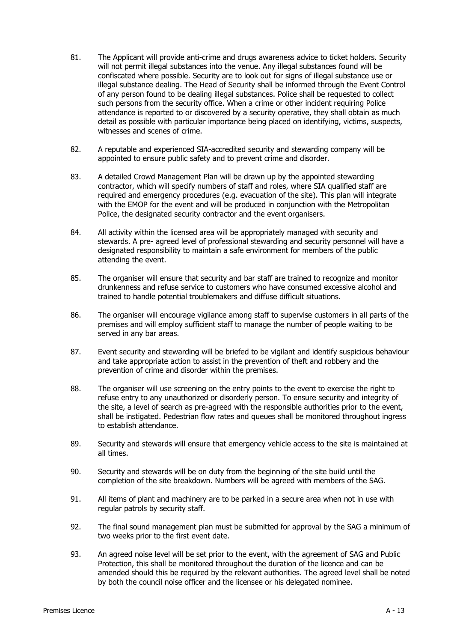- 81. The Applicant will provide anti-crime and drugs awareness advice to ticket holders. Security will not permit illegal substances into the venue. Any illegal substances found will be confiscated where possible. Security are to look out for signs of illegal substance use or illegal substance dealing. The Head of Security shall be informed through the Event Control of any person found to be dealing illegal substances. Police shall be requested to collect such persons from the security office. When a crime or other incident requiring Police attendance is reported to or discovered by a security operative, they shall obtain as much detail as possible with particular importance being placed on identifying, victims, suspects, witnesses and scenes of crime.
- 82. A reputable and experienced SIA-accredited security and stewarding company will be appointed to ensure public safety and to prevent crime and disorder.
- 83. A detailed Crowd Management Plan will be drawn up by the appointed stewarding contractor, which will specify numbers of staff and roles, where SIA qualified staff are required and emergency procedures (e.g. evacuation of the site). This plan will integrate with the EMOP for the event and will be produced in conjunction with the Metropolitan Police, the designated security contractor and the event organisers.
- 84. All activity within the licensed area will be appropriately managed with security and stewards. A pre- agreed level of professional stewarding and security personnel will have a designated responsibility to maintain a safe environment for members of the public attending the event.
- 85. The organiser will ensure that security and bar staff are trained to recognize and monitor drunkenness and refuse service to customers who have consumed excessive alcohol and trained to handle potential troublemakers and diffuse difficult situations.
- 86. The organiser will encourage vigilance among staff to supervise customers in all parts of the premises and will employ sufficient staff to manage the number of people waiting to be served in any bar areas.
- 87. Event security and stewarding will be briefed to be vigilant and identify suspicious behaviour and take appropriate action to assist in the prevention of theft and robbery and the prevention of crime and disorder within the premises.
- 88. The organiser will use screening on the entry points to the event to exercise the right to refuse entry to any unauthorized or disorderly person. To ensure security and integrity of the site, a level of search as pre-agreed with the responsible authorities prior to the event, shall be instigated. Pedestrian flow rates and queues shall be monitored throughout ingress to establish attendance.
- 89. Security and stewards will ensure that emergency vehicle access to the site is maintained at all times.
- 90. Security and stewards will be on duty from the beginning of the site build until the completion of the site breakdown. Numbers will be agreed with members of the SAG.
- 91. All items of plant and machinery are to be parked in a secure area when not in use with regular patrols by security staff.
- 92. The final sound management plan must be submitted for approval by the SAG a minimum of two weeks prior to the first event date.
- 93. An agreed noise level will be set prior to the event, with the agreement of SAG and Public Protection, this shall be monitored throughout the duration of the licence and can be amended should this be required by the relevant authorities. The agreed level shall be noted by both the council noise officer and the licensee or his delegated nominee.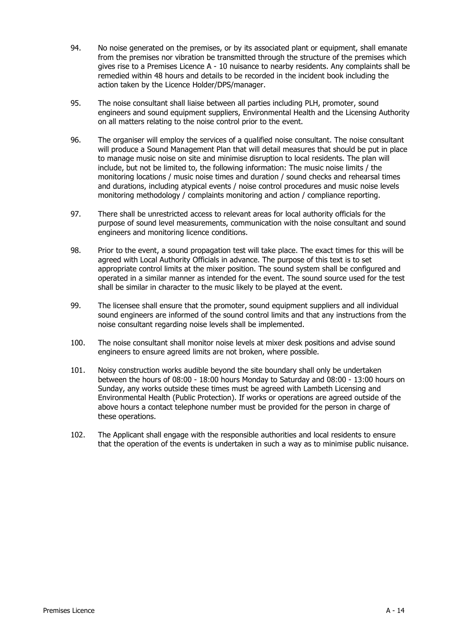- 94. No noise generated on the premises, or by its associated plant or equipment, shall emanate from the premises nor vibration be transmitted through the structure of the premises which gives rise to a Premises Licence A - 10 nuisance to nearby residents. Any complaints shall be remedied within 48 hours and details to be recorded in the incident book including the action taken by the Licence Holder/DPS/manager.
- 95. The noise consultant shall liaise between all parties including PLH, promoter, sound engineers and sound equipment suppliers, Environmental Health and the Licensing Authority on all matters relating to the noise control prior to the event.
- 96. The organiser will employ the services of a qualified noise consultant. The noise consultant will produce a Sound Management Plan that will detail measures that should be put in place to manage music noise on site and minimise disruption to local residents. The plan will include, but not be limited to, the following information: The music noise limits / the monitoring locations / music noise times and duration / sound checks and rehearsal times and durations, including atypical events / noise control procedures and music noise levels monitoring methodology / complaints monitoring and action / compliance reporting.
- 97. There shall be unrestricted access to relevant areas for local authority officials for the purpose of sound level measurements, communication with the noise consultant and sound engineers and monitoring licence conditions.
- 98. Prior to the event, a sound propagation test will take place. The exact times for this will be agreed with Local Authority Officials in advance. The purpose of this text is to set appropriate control limits at the mixer position. The sound system shall be configured and operated in a similar manner as intended for the event. The sound source used for the test shall be similar in character to the music likely to be played at the event.
- 99. The licensee shall ensure that the promoter, sound equipment suppliers and all individual sound engineers are informed of the sound control limits and that any instructions from the noise consultant regarding noise levels shall be implemented.
- 100. The noise consultant shall monitor noise levels at mixer desk positions and advise sound engineers to ensure agreed limits are not broken, where possible.
- 101. Noisy construction works audible beyond the site boundary shall only be undertaken between the hours of 08:00 - 18:00 hours Monday to Saturday and 08:00 - 13:00 hours on Sunday, any works outside these times must be agreed with Lambeth Licensing and Environmental Health (Public Protection). If works or operations are agreed outside of the above hours a contact telephone number must be provided for the person in charge of these operations.
- 102. The Applicant shall engage with the responsible authorities and local residents to ensure that the operation of the events is undertaken in such a way as to minimise public nuisance.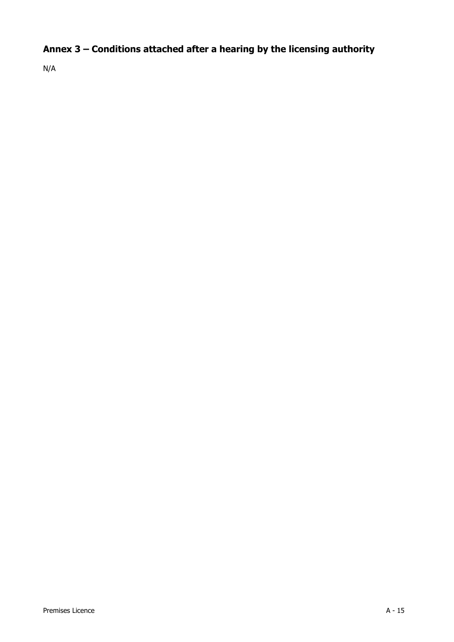## **Annex 3 – Conditions attached after a hearing by the licensing authority**

N/A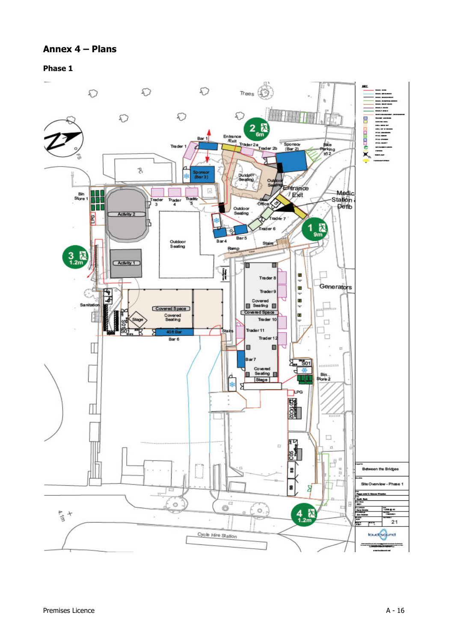## **Annex 4 – Plans**

**Phase 1**

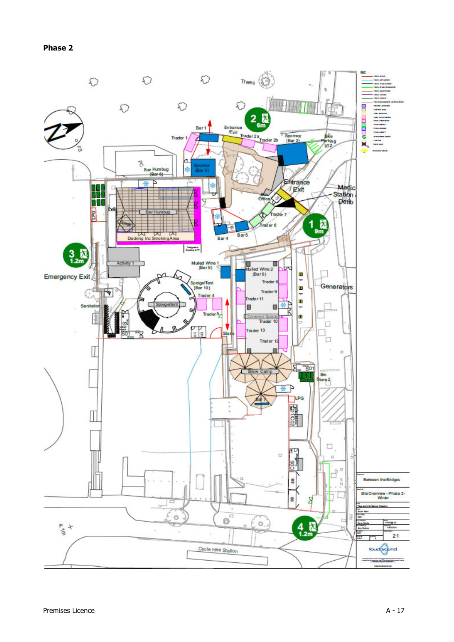**Phase 2**

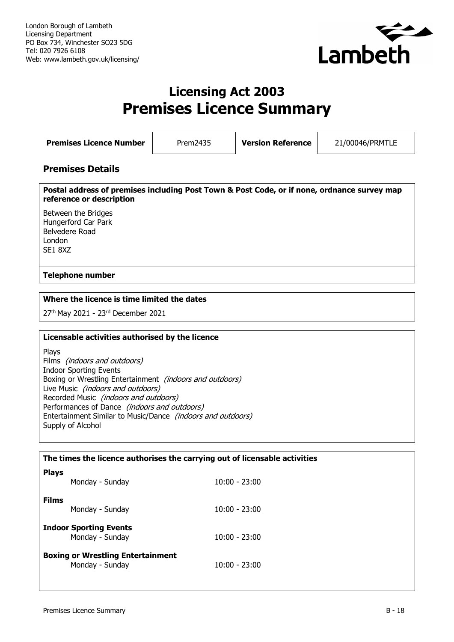

## **Licensing Act 2003 Premises Licence Summary**

**Premises Licence Number** Prem2435 **Version Reference** 21/00046/PRMTLE

## **Premises Details**

**Postal address of premises including Post Town & Post Code, or if none, ordnance survey map reference or description**

Between the Bridges Hungerford Car Park Belvedere Road London SE1 8XZ

## **Telephone number**

## **Where the licence is time limited the dates**

27<sup>th</sup> May 2021 - 23<sup>rd</sup> December 2021

## **Licensable activities authorised by the licence**

Plays Films (indoors and outdoors) Indoor Sporting Events Boxing or Wrestling Entertainment (indoors and outdoors) Live Music (indoors and outdoors) Recorded Music (indoors and outdoors) Performances of Dance (indoors and outdoors) Entertainment Similar to Music/Dance (indoors and outdoors) Supply of Alcohol

| The times the licence authorises the carrying out of licensable activities |                 |  |
|----------------------------------------------------------------------------|-----------------|--|
| <b>Plays</b><br>Monday - Sunday                                            | $10:00 - 23:00$ |  |
| <b>Films</b><br>Monday - Sunday                                            | $10:00 - 23:00$ |  |
| <b>Indoor Sporting Events</b><br>Monday - Sunday                           | $10:00 - 23:00$ |  |
| <b>Boxing or Wrestling Entertainment</b><br>Monday - Sunday                | $10:00 - 23:00$ |  |